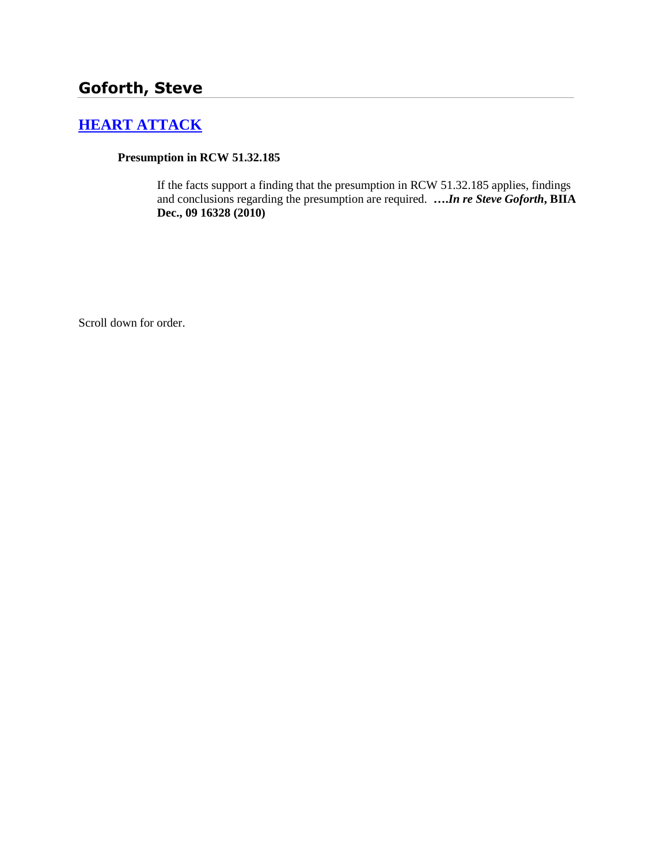# **Goforth, Steve**

# **[HEART ATTACK](http://www.biia.wa.gov/SDSubjectIndex.html#HEART_ATTACK)**

#### **Presumption in RCW 51.32.185**

If the facts support a finding that the presumption in RCW 51.32.185 applies, findings and conclusions regarding the presumption are required. **….***In re Steve Goforth***, BIIA Dec., 09 16328 (2010)**

Scroll down for order.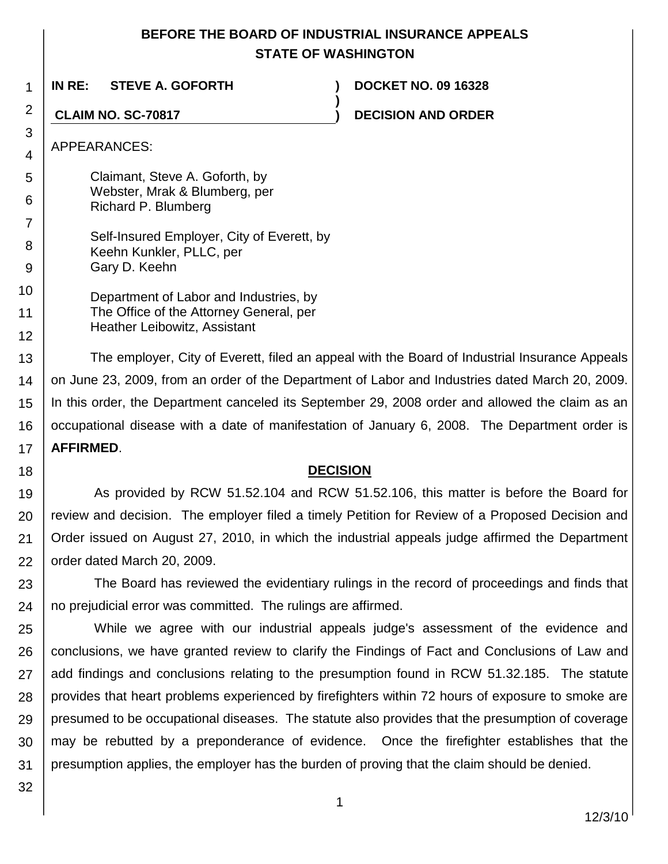## **BEFORE THE BOARD OF INDUSTRIAL INSURANCE APPEALS STATE OF WASHINGTON**

**)**

**IN RE: STEVE A. GOFORTH ) DOCKET NO. 09 16328**

**CLAIM NO. SC-70817 ) DECISION AND ORDER**

APPEARANCES:

1

2

3 4

5 6 7 Claimant, Steve A. Goforth, by Webster, Mrak & Blumberg, per Richard P. Blumberg

8 9 Self-Insured Employer, City of Everett, by Keehn Kunkler, PLLC, per Gary D. Keehn

10 11 12 Department of Labor and Industries, by The Office of the Attorney General, per Heather Leibowitz, Assistant

13 14 15 16 17 The employer, City of Everett, filed an appeal with the Board of Industrial Insurance Appeals on June 23, 2009, from an order of the Department of Labor and Industries dated March 20, 2009. In this order, the Department canceled its September 29, 2008 order and allowed the claim as an occupational disease with a date of manifestation of January 6, 2008. The Department order is **AFFIRMED**.

**DECISION**

19 20 21 22 As provided by RCW 51.52.104 and RCW 51.52.106, this matter is before the Board for review and decision. The employer filed a timely Petition for Review of a Proposed Decision and Order issued on August 27, 2010, in which the industrial appeals judge affirmed the Department order dated March 20, 2009.

23 24 The Board has reviewed the evidentiary rulings in the record of proceedings and finds that no prejudicial error was committed. The rulings are affirmed.

25 26 27 28 29 30 31 While we agree with our industrial appeals judge's assessment of the evidence and conclusions, we have granted review to clarify the Findings of Fact and Conclusions of Law and add findings and conclusions relating to the presumption found in RCW 51.32.185. The statute provides that heart problems experienced by firefighters within 72 hours of exposure to smoke are presumed to be occupational diseases. The statute also provides that the presumption of coverage may be rebutted by a preponderance of evidence. Once the firefighter establishes that the presumption applies, the employer has the burden of proving that the claim should be denied.

32

18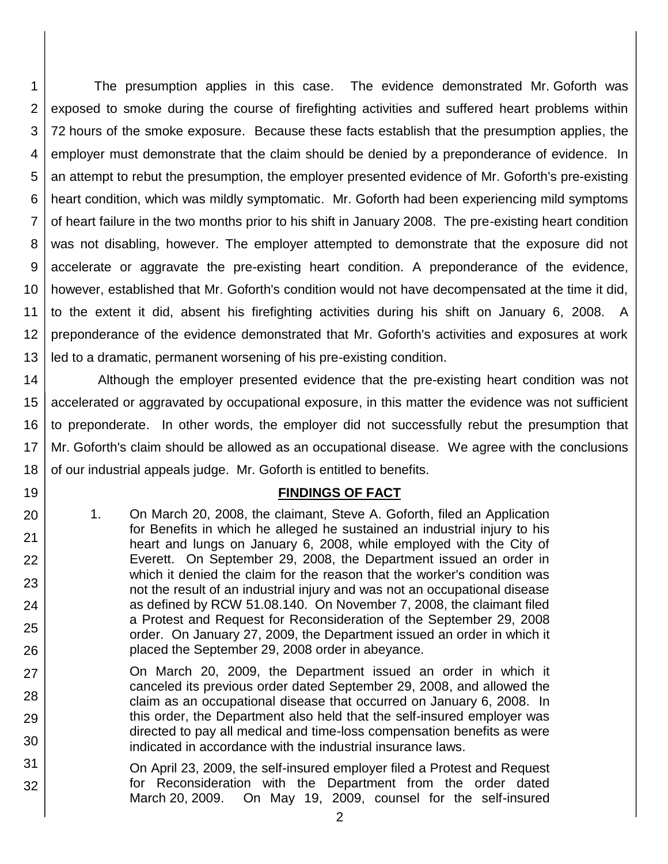1 2 3 4 5 6 7 8 9 10 11 12 13 The presumption applies in this case. The evidence demonstrated Mr. Goforth was exposed to smoke during the course of firefighting activities and suffered heart problems within 72 hours of the smoke exposure. Because these facts establish that the presumption applies, the employer must demonstrate that the claim should be denied by a preponderance of evidence. In an attempt to rebut the presumption, the employer presented evidence of Mr. Goforth's pre-existing heart condition, which was mildly symptomatic. Mr. Goforth had been experiencing mild symptoms of heart failure in the two months prior to his shift in January 2008. The pre-existing heart condition was not disabling, however. The employer attempted to demonstrate that the exposure did not accelerate or aggravate the pre-existing heart condition. A preponderance of the evidence, however, established that Mr. Goforth's condition would not have decompensated at the time it did, to the extent it did, absent his firefighting activities during his shift on January 6, 2008. A preponderance of the evidence demonstrated that Mr. Goforth's activities and exposures at work led to a dramatic, permanent worsening of his pre-existing condition.

14 15 16 17 18 Although the employer presented evidence that the pre-existing heart condition was not accelerated or aggravated by occupational exposure, in this matter the evidence was not sufficient to preponderate. In other words, the employer did not successfully rebut the presumption that Mr. Goforth's claim should be allowed as an occupational disease. We agree with the conclusions of our industrial appeals judge. Mr. Goforth is entitled to benefits.

### **FINDINGS OF FACT**

1. On March 20, 2008, the claimant, Steve A. Goforth, filed an Application for Benefits in which he alleged he sustained an industrial injury to his heart and lungs on January 6, 2008, while employed with the City of Everett. On September 29, 2008, the Department issued an order in which it denied the claim for the reason that the worker's condition was not the result of an industrial injury and was not an occupational disease as defined by RCW 51.08.140. On November 7, 2008, the claimant filed a Protest and Request for Reconsideration of the September 29, 2008 order. On January 27, 2009, the Department issued an order in which it placed the September 29, 2008 order in abeyance.

19

20

21

22

23

24

25

26

- 27 28 29 30 On March 20, 2009, the Department issued an order in which it canceled its previous order dated September 29, 2008, and allowed the claim as an occupational disease that occurred on January 6, 2008. In this order, the Department also held that the self-insured employer was directed to pay all medical and time-loss compensation benefits as were indicated in accordance with the industrial insurance laws.
- 31 32 On April 23, 2009, the self-insured employer filed a Protest and Request for Reconsideration with the Department from the order dated March 20, 2009. On May 19, 2009, counsel for the self-insured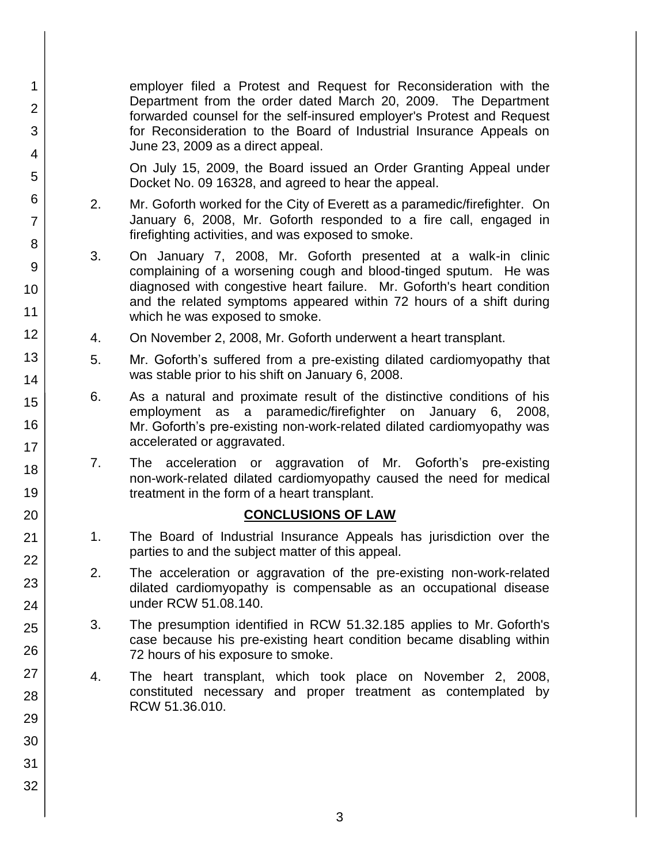employer filed a Protest and Request for Reconsideration with the Department from the order dated March 20, 2009. The Department forwarded counsel for the self-insured employer's Protest and Request for Reconsideration to the Board of Industrial Insurance Appeals on June 23, 2009 as a direct appeal.

On July 15, 2009, the Board issued an Order Granting Appeal under Docket No. 09 16328, and agreed to hear the appeal.

- 2. Mr. Goforth worked for the City of Everett as a paramedic/firefighter. On January 6, 2008, Mr. Goforth responded to a fire call, engaged in firefighting activities, and was exposed to smoke.
- 3. On January 7, 2008, Mr. Goforth presented at a walk-in clinic complaining of a worsening cough and blood-tinged sputum. He was diagnosed with congestive heart failure. Mr. Goforth's heart condition and the related symptoms appeared within 72 hours of a shift during which he was exposed to smoke.
- 4. On November 2, 2008, Mr. Goforth underwent a heart transplant.
- 5. Mr. Goforth's suffered from a pre-existing dilated cardiomyopathy that was stable prior to his shift on January 6, 2008.
- 6. As a natural and proximate result of the distinctive conditions of his employment as a paramedic/firefighter on January 6, 2008, Mr. Goforth's pre-existing non-work-related dilated cardiomyopathy was accelerated or aggravated.
- 7. The acceleration or aggravation of Mr. Goforth's pre-existing non-work-related dilated cardiomyopathy caused the need for medical treatment in the form of a heart transplant.

## **CONCLUSIONS OF LAW**

- 1. The Board of Industrial Insurance Appeals has jurisdiction over the parties to and the subject matter of this appeal.
- 2. The acceleration or aggravation of the pre-existing non-work-related dilated cardiomyopathy is compensable as an occupational disease under RCW 51.08.140.
- 3. The presumption identified in RCW 51.32.185 applies to Mr. Goforth's case because his pre-existing heart condition became disabling within 72 hours of his exposure to smoke.
- 4. The heart transplant, which took place on November 2, 2008, constituted necessary and proper treatment as contemplated by RCW 51.36.010.
- 1 2 3 4 5 6 7 8 9 10 11 12 13 14 15 16 17 18 19 20 21 22 23 24 25 26 27 28 29 30 31 32